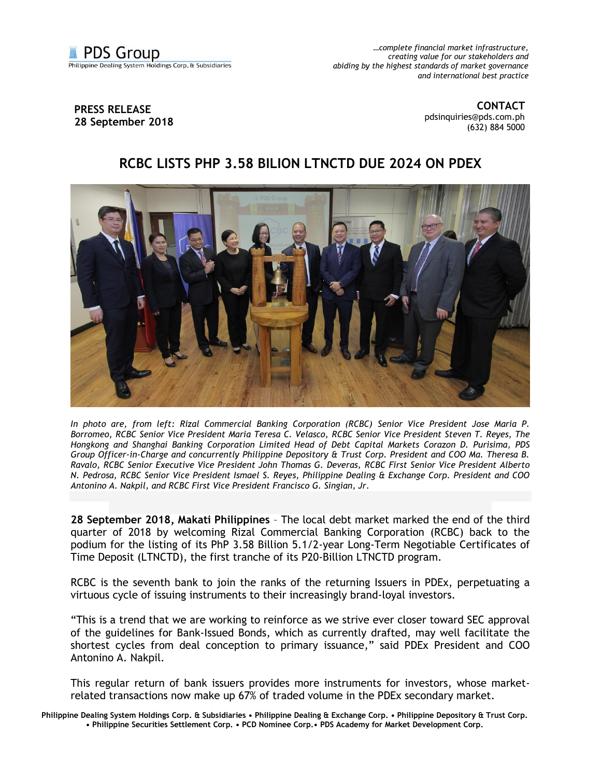

*…complete financial market infrastructure, creating value for our stakeholders and abiding by the highest standards of market governance and international best practice*

## **PRESS RELEASE 28 September 2018**

**CONTACT** [pdsinquiries@pds.com.ph](mailto:pdsinquiries@pds.com.ph) (632) 884 5000

## **RCBC LISTS PHP 3.58 BILION LTNCTD DUE 2024 ON PDEX**



*In photo are, from left: Rizal Commercial Banking Corporation (RCBC) Senior Vice President Jose Maria P. Borromeo, RCBC Senior Vice President Maria Teresa C. Velasco, RCBC Senior Vice President Steven T. Reyes, The Hongkong and Shanghai Banking Corporation Limited Head of Debt Capital Markets Corazon D. Purisima, PDS Group Officer-in-Charge and concurrently Philippine Depository & Trust Corp. President and COO Ma. Theresa B. Ravalo, RCBC Senior Executive Vice President John Thomas G. Deveras, RCBC First Senior Vice President Alberto N. Pedrosa, RCBC Senior Vice President Ismael S. Reyes, Philippine Dealing & Exchange Corp. President and COO Antonino A. Nakpil, and RCBC First Vice President Francisco G. Singian, Jr.*

**28 September 2018, Makati Philippines** – The local debt market marked the end of the third quarter of 2018 by welcoming Rizal Commercial Banking Corporation (RCBC) back to the podium for the listing of its PhP 3.58 Billion 5.1/2-year Long-Term Negotiable Certificates of Time Deposit (LTNCTD), the first tranche of its P20-Billion LTNCTD program.

RCBC is the seventh bank to join the ranks of the returning Issuers in PDEx, perpetuating a virtuous cycle of issuing instruments to their increasingly brand-loyal investors.

"This is a trend that we are working to reinforce as we strive ever closer toward SEC approval of the guidelines for Bank-Issued Bonds, which as currently drafted, may well facilitate the shortest cycles from deal conception to primary issuance," said PDEx President and COO Antonino A. Nakpil.

This regular return of bank issuers provides more instruments for investors, whose marketrelated transactions now make up 67% of traded volume in the PDEx secondary market.

**Philippine Dealing System Holdings Corp. & Subsidiaries • Philippine Dealing & Exchange Corp. • Philippine Depository & Trust Corp. • Philippine Securities Settlement Corp. • PCD Nominee Corp.• PDS Academy for Market Development Corp.**